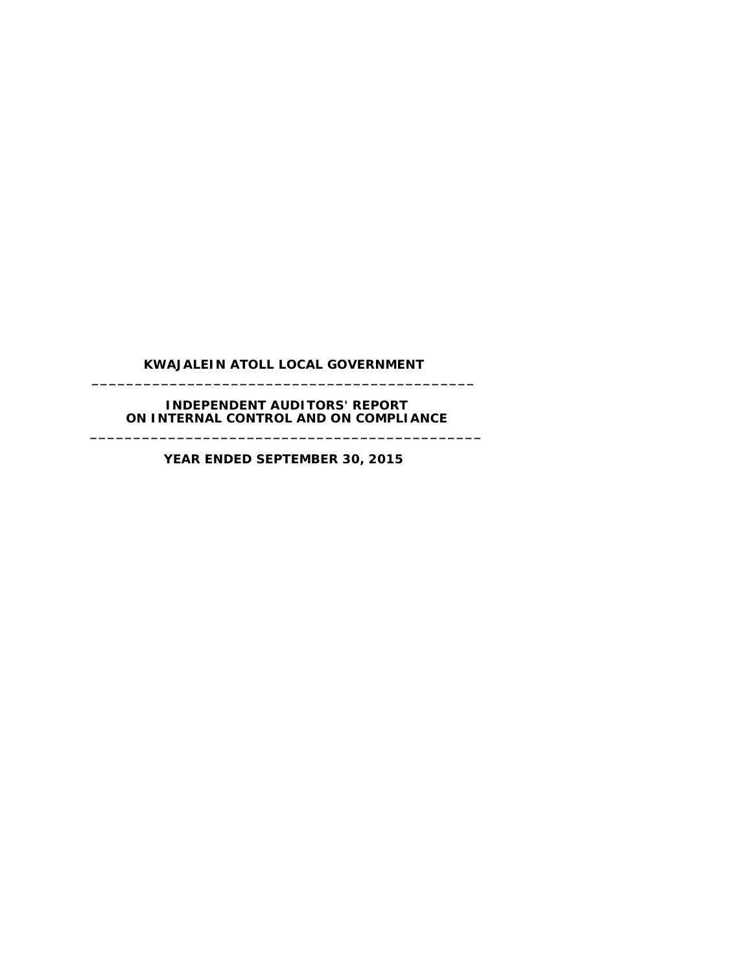## **KWAJALEIN ATOLL LOCAL GOVERNMENT \_\_\_\_\_\_\_\_\_\_\_\_\_\_\_\_\_\_\_\_\_\_\_\_\_\_\_\_\_\_\_\_\_\_\_\_\_\_\_\_\_\_\_\_**

#### **INDEPENDENT AUDITORS' REPORT ON INTERNAL CONTROL AND ON COMPLIANCE \_\_\_\_\_\_\_\_\_\_\_\_\_\_\_\_\_\_\_\_\_\_\_\_\_\_\_\_\_\_\_\_\_\_\_\_\_\_\_\_\_\_\_\_\_**

**YEAR ENDED SEPTEMBER 30, 2015**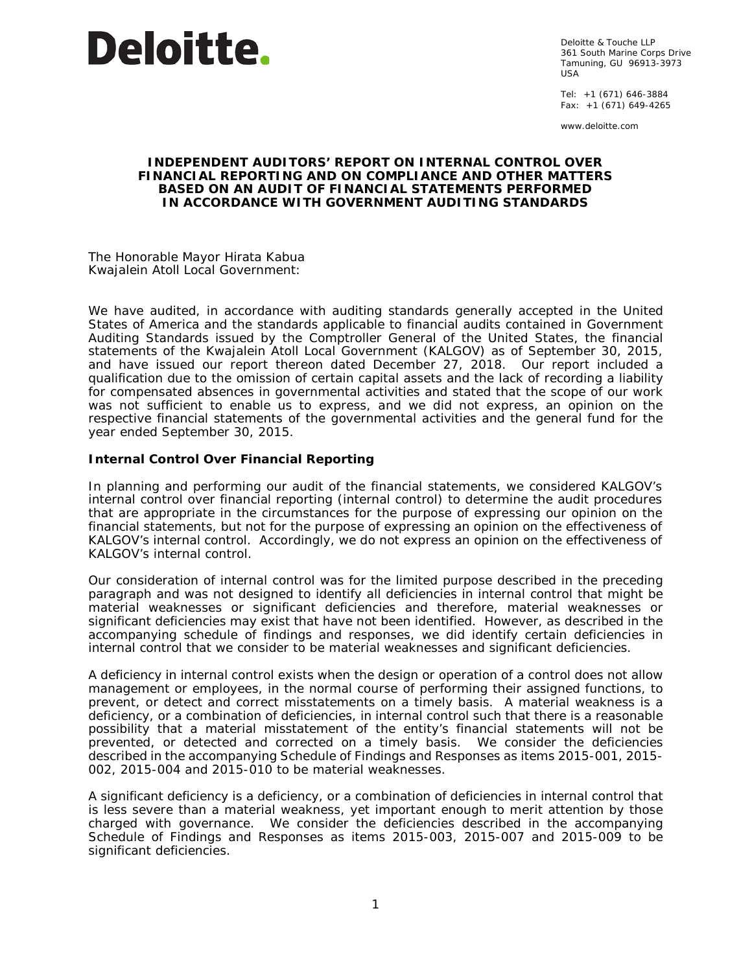

Deloitte & Touche LLP 361 South Marine Corps Drive Tamuning, GU 96913-3973 USA

Tel: +1 (671) 646-3884 Fax: +1 (671) 649-4265

www.deloitte.com

#### **INDEPENDENT AUDITORS' REPORT ON INTERNAL CONTROL OVER FINANCIAL REPORTING AND ON COMPLIANCE AND OTHER MATTERS BASED ON AN AUDIT OF FINANCIAL STATEMENTS PERFORMED IN ACCORDANCE WITH** *GOVERNMENT AUDITING STANDARDS*

The Honorable Mayor Hirata Kabua Kwajalein Atoll Local Government:

We have audited, in accordance with auditing standards generally accepted in the United States of America and the standards applicable to financial audits contained in *Government Auditing Standards* issued by the Comptroller General of the United States, the financial statements of the Kwajalein Atoll Local Government (KALGOV) as of September 30, 2015, and have issued our report thereon dated December 27, 2018. Our report included a qualification due to the omission of certain capital assets and the lack of recording a liability for compensated absences in governmental activities and stated that the scope of our work was not sufficient to enable us to express, and we did not express, an opinion on the respective financial statements of the governmental activities and the general fund for the year ended September 30, 2015.

#### **Internal Control Over Financial Reporting**

In planning and performing our audit of the financial statements, we considered KALGOV's internal control over financial reporting (internal control) to determine the audit procedures that are appropriate in the circumstances for the purpose of expressing our opinion on the financial statements, but not for the purpose of expressing an opinion on the effectiveness of KALGOV's internal control. Accordingly, we do not express an opinion on the effectiveness of KALGOV's internal control.

Our consideration of internal control was for the limited purpose described in the preceding paragraph and was not designed to identify all deficiencies in internal control that might be material weaknesses or significant deficiencies and therefore, material weaknesses or significant deficiencies may exist that have not been identified. However, as described in the accompanying schedule of findings and responses, we did identify certain deficiencies in internal control that we consider to be material weaknesses and significant deficiencies.

A *deficiency in internal control* exists when the design or operation of a control does not allow management or employees, in the normal course of performing their assigned functions, to prevent, or detect and correct misstatements on a timely basis. A *material weakness* is a deficiency, or a combination of deficiencies, in internal control such that there is a reasonable possibility that a material misstatement of the entity's financial statements will not be prevented, or detected and corrected on a timely basis. We consider the deficiencies described in the accompanying Schedule of Findings and Responses as items 2015-001, 2015- 002, 2015-004 and 2015-010 to be material weaknesses.

A *significant deficiency* is a deficiency, or a combination of deficiencies in internal control that is less severe than a material weakness, yet important enough to merit attention by those charged with governance. We consider the deficiencies described in the accompanying Schedule of Findings and Responses as items 2015-003, 2015-007 and 2015-009 to be significant deficiencies.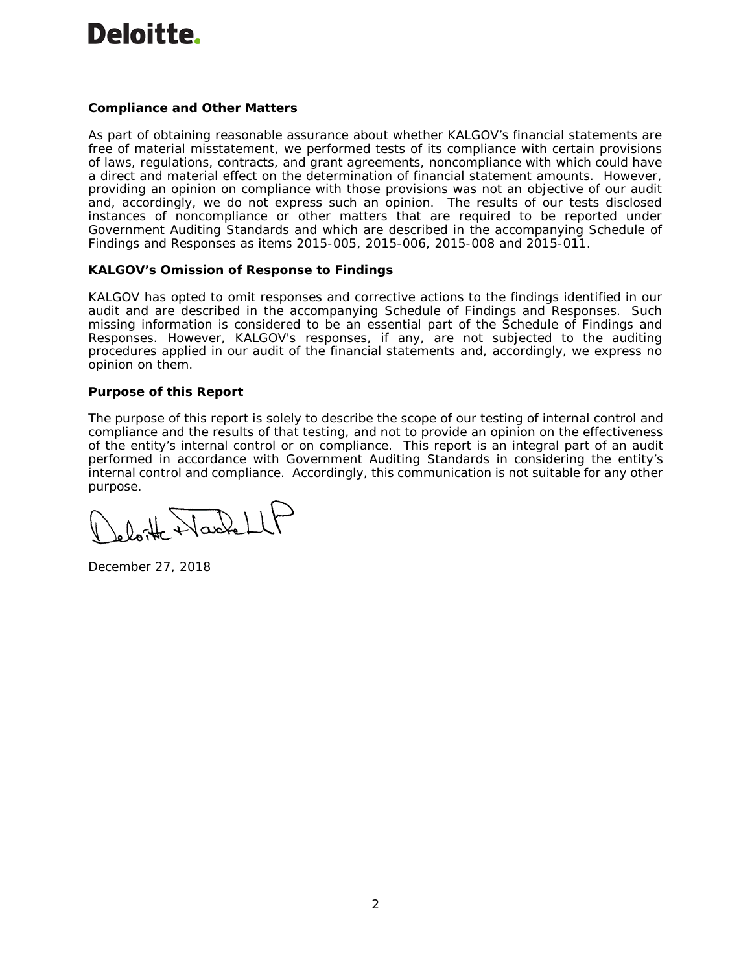# Deloitte.

# **Compliance and Other Matters**

As part of obtaining reasonable assurance about whether KALGOV's financial statements are free of material misstatement, we performed tests of its compliance with certain provisions of laws, regulations, contracts, and grant agreements, noncompliance with which could have a direct and material effect on the determination of financial statement amounts. However, providing an opinion on compliance with those provisions was not an objective of our audit and, accordingly, we do not express such an opinion. The results of our tests disclosed instances of noncompliance or other matters that are required to be reported under *Government Auditing Standards* and which are described in the accompanying Schedule of Findings and Responses as items 2015-005, 2015-006, 2015-008 and 2015-011.

# **KALGOV's Omission of Response to Findings**

KALGOV has opted to omit responses and corrective actions to the findings identified in our audit and are described in the accompanying Schedule of Findings and Responses. Such missing information is considered to be an essential part of the Schedule of Findings and Responses. However, KALGOV's responses, if any, are not subjected to the auditing procedures applied in our audit of the financial statements and, accordingly, we express no opinion on them.

#### **Purpose of this Report**

The purpose of this report is solely to describe the scope of our testing of internal control and compliance and the results of that testing, and not to provide an opinion on the effectiveness of the entity's internal control or on compliance. This report is an integral part of an audit performed in accordance with *Government Auditing Standards* in considering the entity's internal control and compliance. Accordingly, this communication is not suitable for any other purpose.

 $0$  of Harle

December 27, 2018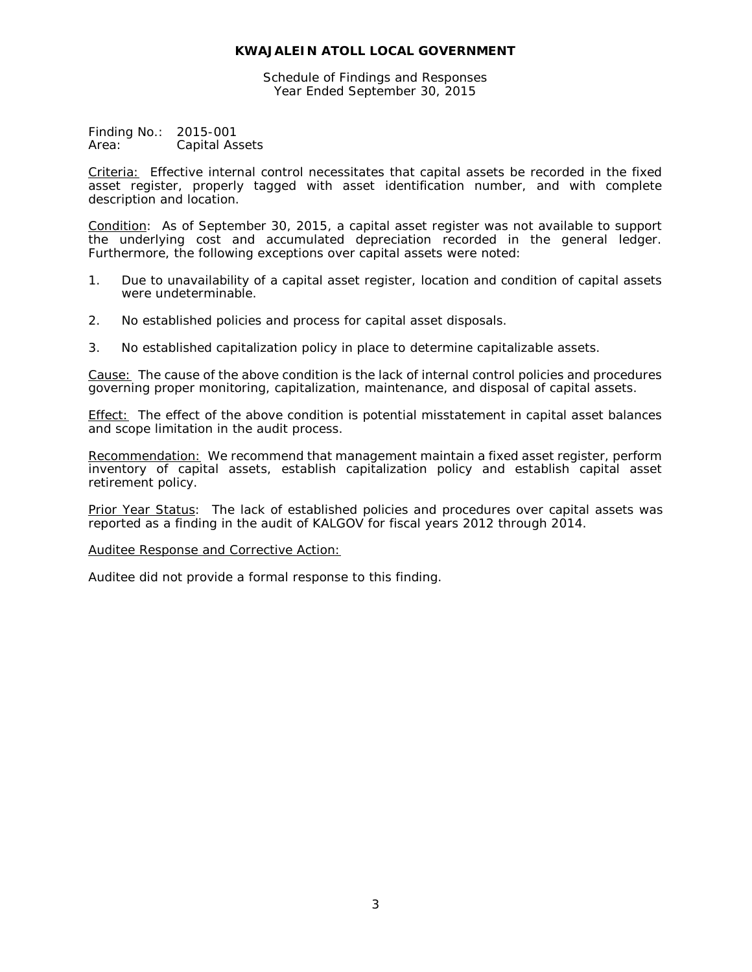Schedule of Findings and Responses Year Ended September 30, 2015

Finding No.: 2015-001 Area: Capital Assets

Criteria: Effective internal control necessitates that capital assets be recorded in the fixed asset register, properly tagged with asset identification number, and with complete description and location.

Condition: As of September 30, 2015, a capital asset register was not available to support the underlying cost and accumulated depreciation recorded in the general ledger. Furthermore, the following exceptions over capital assets were noted:

- 1. Due to unavailability of a capital asset register, location and condition of capital assets were undeterminable.
- 2. No established policies and process for capital asset disposals.
- 3. No established capitalization policy in place to determine capitalizable assets.

Cause: The cause of the above condition is the lack of internal control policies and procedures governing proper monitoring, capitalization, maintenance, and disposal of capital assets.

Effect: The effect of the above condition is potential misstatement in capital asset balances and scope limitation in the audit process.

Recommendation: We recommend that management maintain a fixed asset register, perform inventory of capital assets, establish capitalization policy and establish capital asset retirement policy.

Prior Year Status: The lack of established policies and procedures over capital assets was reported as a finding in the audit of KALGOV for fiscal years 2012 through 2014.

Auditee Response and Corrective Action: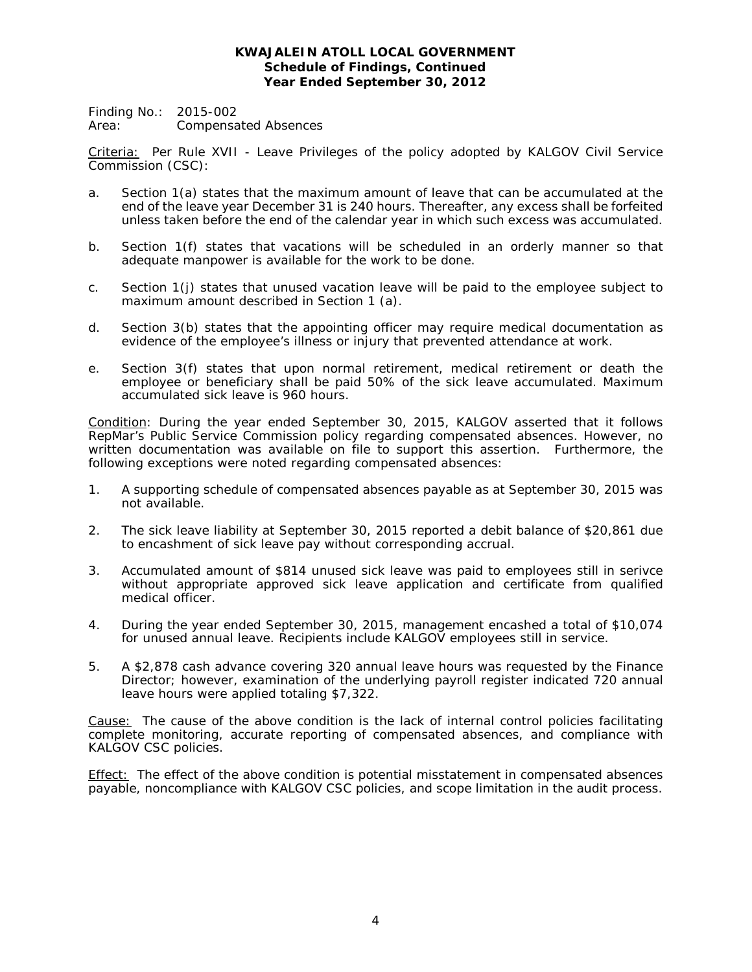## **KWAJALEIN ATOLL LOCAL GOVERNMENT Schedule of Findings, Continued Year Ended September 30, 2012**

Finding No.: 2015-002 Area: Compensated Absences

Criteria: Per Rule XVII - *Leave Privileges* of the policy adopted by KALGOV Civil Service Commission (CSC):

- a. Section 1(a) states that the maximum amount of leave that can be accumulated at the end of the leave year December 31 is 240 hours. Thereafter, any excess shall be forfeited unless taken before the end of the calendar year in which such excess was accumulated.
- b. Section 1(f) states that vacations will be scheduled in an orderly manner so that adequate manpower is available for the work to be done.
- c. Section 1(j) states that unused vacation leave will be paid to the employee subject to maximum amount described in Section 1 (a).
- d. Section 3(b) states that the appointing officer may require medical documentation as evidence of the employee's illness or injury that prevented attendance at work.
- e. Section 3(f) states that upon normal retirement, medical retirement or death the employee or beneficiary shall be paid 50% of the sick leave accumulated. Maximum accumulated sick leave is 960 hours.

Condition: During the year ended September 30, 2015, KALGOV asserted that it follows RepMar's Public Service Commission policy regarding compensated absences. However, no written documentation was available on file to support this assertion. Furthermore, the following exceptions were noted regarding compensated absences:

- 1. A supporting schedule of compensated absences payable as at September 30, 2015 was not available.
- 2. The sick leave liability at September 30, 2015 reported a debit balance of \$20,861 due to encashment of sick leave pay without corresponding accrual.
- 3. Accumulated amount of \$814 unused sick leave was paid to employees still in serivce without appropriate approved sick leave application and certificate from qualified medical officer.
- 4. During the year ended September 30, 2015, management encashed a total of \$10,074 for unused annual leave. Recipients include KALGOV employees still in service.
- 5. A \$2,878 cash advance covering 320 annual leave hours was requested by the Finance Director; however, examination of the underlying payroll register indicated 720 annual leave hours were applied totaling \$7,322.

Cause: The cause of the above condition is the lack of internal control policies facilitating complete monitoring, accurate reporting of compensated absences, and compliance with KALGOV CSC policies.

**Effect:** The effect of the above condition is potential misstatement in compensated absences payable, noncompliance with KALGOV CSC policies, and scope limitation in the audit process.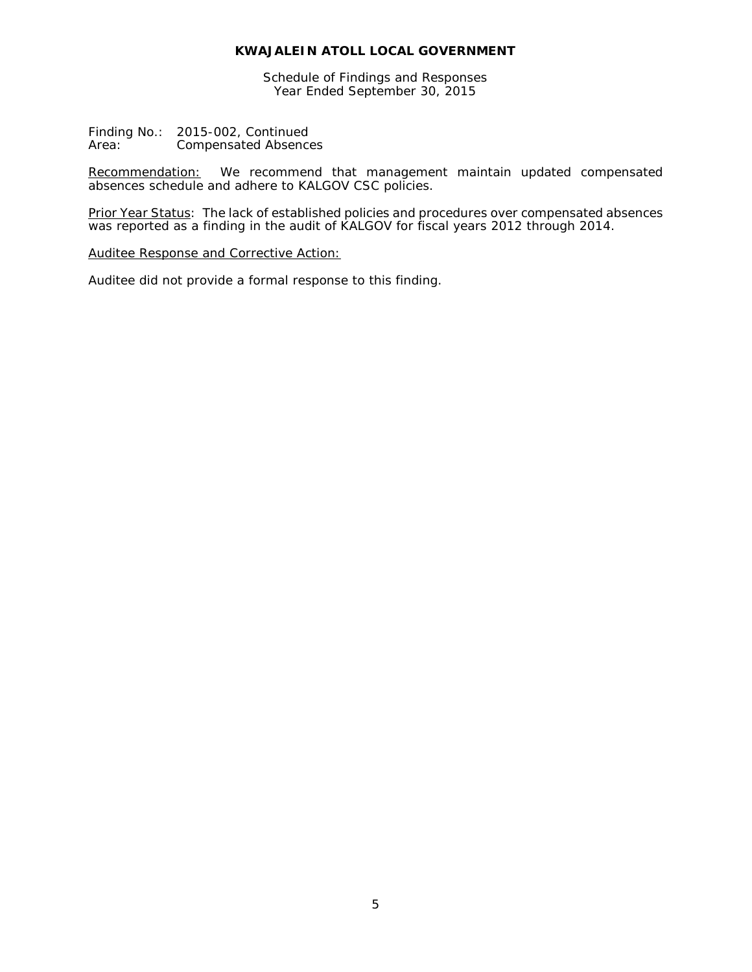Schedule of Findings and Responses Year Ended September 30, 2015

Finding No.: 2015-002, Continued<br>Area: Compensated Absence Compensated Absences

Recommendation: We recommend that management maintain updated compensated absences schedule and adhere to KALGOV CSC policies.

Prior Year Status: The lack of established policies and procedures over compensated absences was reported as a finding in the audit of KALGOV for fiscal years 2012 through 2014.

#### Auditee Response and Corrective Action: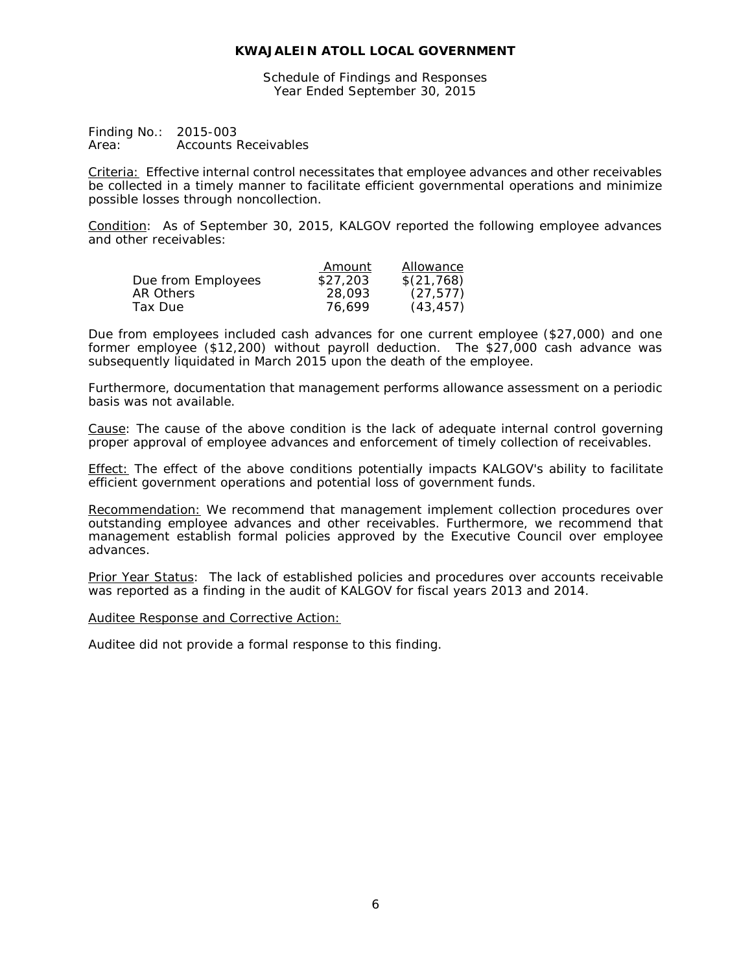Schedule of Findings and Responses Year Ended September 30, 2015

Finding No.: 2015-003 Area: Accounts Receivables

Criteria: Effective internal control necessitates that employee advances and other receivables be collected in a timely manner to facilitate efficient governmental operations and minimize possible losses through noncollection.

Condition: As of September 30, 2015, KALGOV reported the following employee advances and other receivables:

|                    | Amount   | Allowance  |
|--------------------|----------|------------|
| Due from Employees | \$27.203 | \$(21,768) |
| AR Others          | 28,093   | (27, 577)  |
| Tax Due            | 76.699   | (43, 457)  |

Due from employees included cash advances for one current employee (\$27,000) and one former employee (\$12,200) without payroll deduction. The \$27,000 cash advance was subsequently liquidated in March 2015 upon the death of the employee.

Furthermore, documentation that management performs allowance assessment on a periodic basis was not available.

Cause: The cause of the above condition is the lack of adequate internal control governing proper approval of employee advances and enforcement of timely collection of receivables.

Effect: The effect of the above conditions potentially impacts KALGOV's ability to facilitate efficient government operations and potential loss of government funds.

Recommendation: We recommend that management implement collection procedures over outstanding employee advances and other receivables. Furthermore, we recommend that management establish formal policies approved by the Executive Council over employee advances.

Prior Year Status: The lack of established policies and procedures over accounts receivable was reported as a finding in the audit of KALGOV for fiscal years 2013 and 2014.

#### Auditee Response and Corrective Action: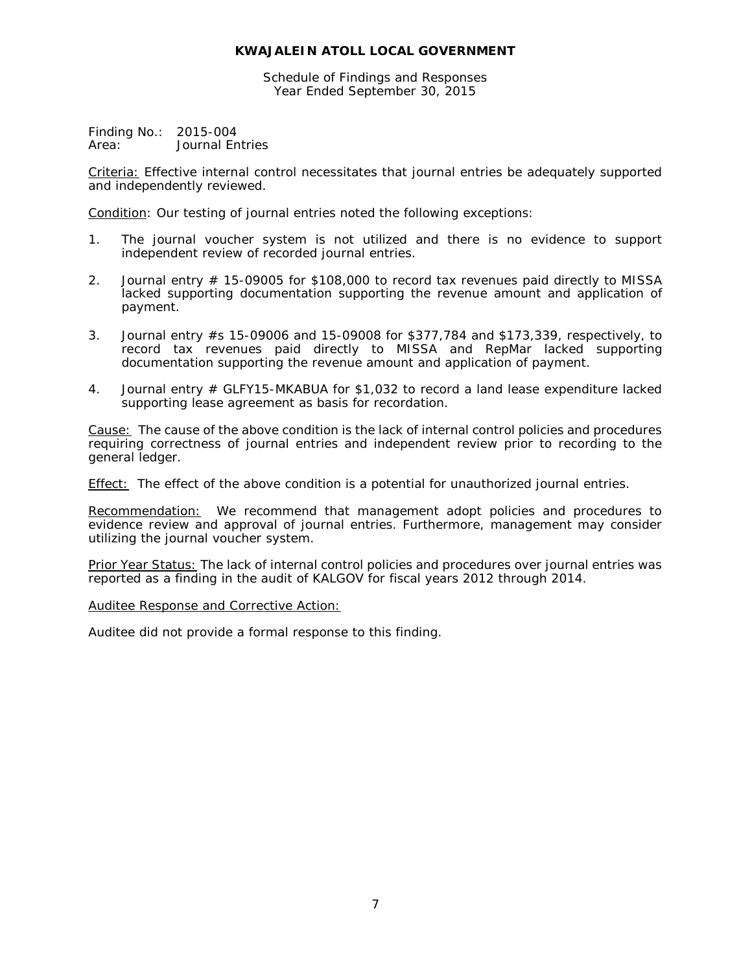Schedule of Findings and Responses Year Ended September 30, 2015

Finding No.: 2015-004 Area: Journal Entries

Criteria: Effective internal control necessitates that journal entries be adequately supported and independently reviewed.

Condition: Our testing of journal entries noted the following exceptions:

- 1. The journal voucher system is not utilized and there is no evidence to support independent review of recorded journal entries.
- 2. Journal entry # 15-09005 for \$108,000 to record tax revenues paid directly to MISSA lacked supporting documentation supporting the revenue amount and application of payment.
- 3. Journal entry #s 15-09006 and 15-09008 for \$377,784 and \$173,339, respectively, to record tax revenues paid directly to MISSA and RepMar lacked supporting documentation supporting the revenue amount and application of payment.
- 4. Journal entry # GLFY15-MKABUA for \$1,032 to record a land lease expenditure lacked supporting lease agreement as basis for recordation.

Cause: The cause of the above condition is the lack of internal control policies and procedures requiring correctness of journal entries and independent review prior to recording to the general ledger.

**Effect:** The effect of the above condition is a potential for unauthorized journal entries.

Recommendation: We recommend that management adopt policies and procedures to evidence review and approval of journal entries. Furthermore, management may consider utilizing the journal voucher system.

Prior Year Status: The lack of internal control policies and procedures over journal entries was reported as a finding in the audit of KALGOV for fiscal years 2012 through 2014.

Auditee Response and Corrective Action: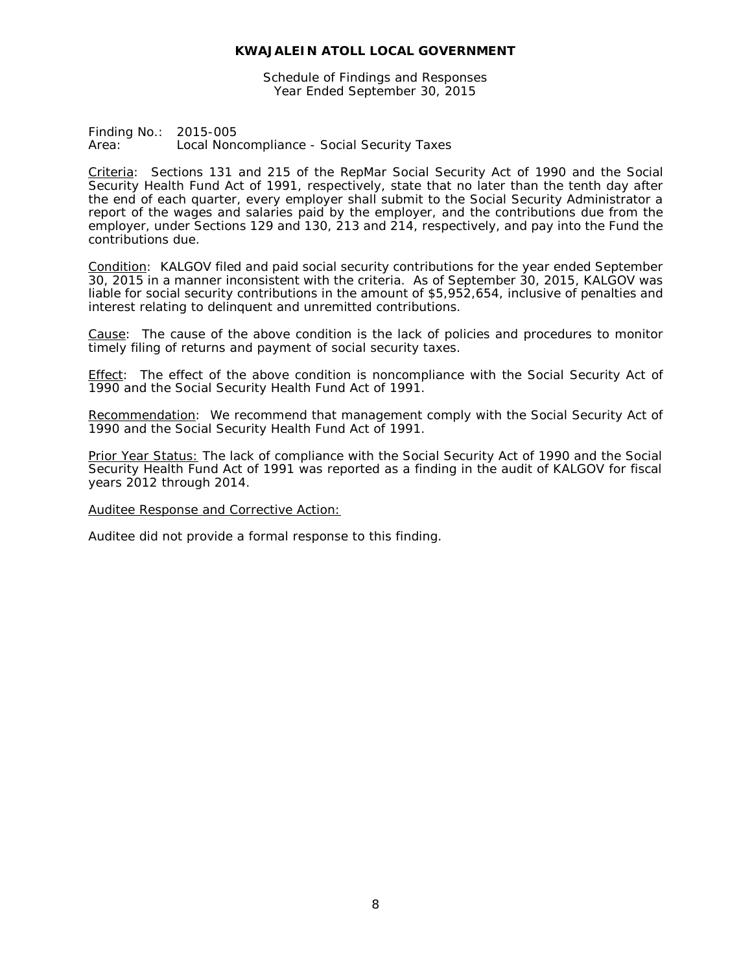Schedule of Findings and Responses Year Ended September 30, 2015

Finding No.: 2015-005 Area: Local Noncompliance - Social Security Taxes

Criteria: Sections 131 and 215 of the RepMar Social Security Act of 1990 and the Social Security Health Fund Act of 1991, respectively, state that no later than the tenth day after the end of each quarter, every employer shall submit to the Social Security Administrator a report of the wages and salaries paid by the employer, and the contributions due from the employer, under Sections 129 and 130, 213 and 214, respectively, and pay into the Fund the contributions due.

Condition: KALGOV filed and paid social security contributions for the year ended September 30, 2015 in a manner inconsistent with the criteria. As of September 30, 2015, KALGOV was liable for social security contributions in the amount of \$5,952,654, inclusive of penalties and interest relating to delinquent and unremitted contributions.

Cause: The cause of the above condition is the lack of policies and procedures to monitor timely filing of returns and payment of social security taxes.

Effect: The effect of the above condition is noncompliance with the Social Security Act of 1990 and the Social Security Health Fund Act of 1991.

Recommendation: We recommend that management comply with the Social Security Act of 1990 and the Social Security Health Fund Act of 1991.

Prior Year Status: The lack of compliance with the Social Security Act of 1990 and the Social Security Health Fund Act of 1991 was reported as a finding in the audit of KALGOV for fiscal years 2012 through 2014.

Auditee Response and Corrective Action: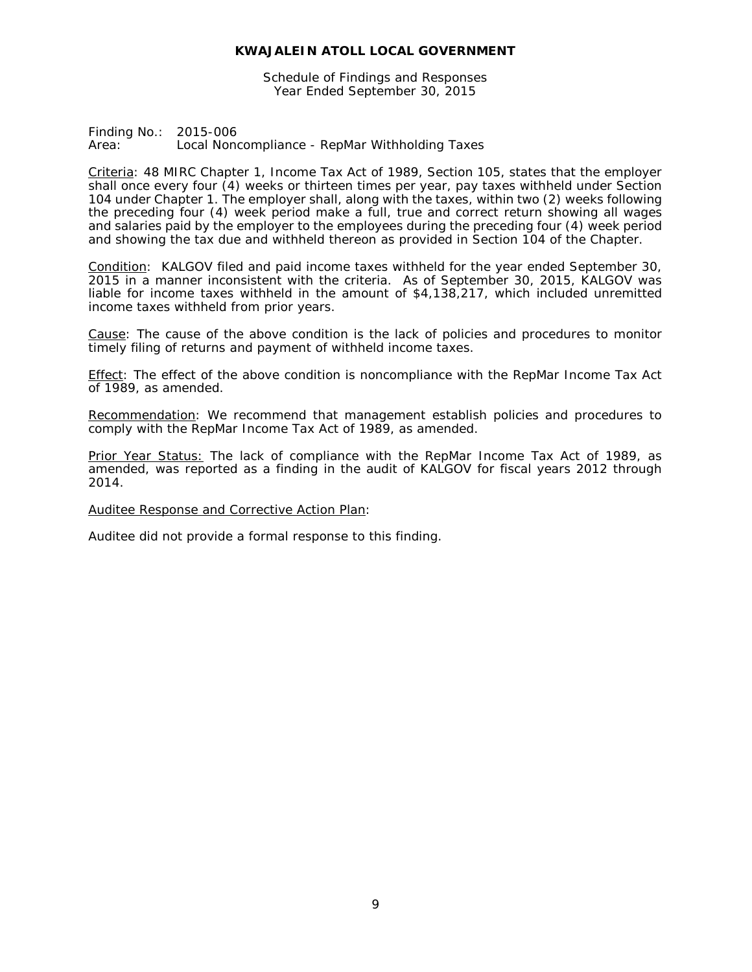Schedule of Findings and Responses Year Ended September 30, 2015

Finding No.: 2015-006 Area: Local Noncompliance - RepMar Withholding Taxes

Criteria: 48 MIRC Chapter 1, Income Tax Act of 1989, Section 105, states that the employer shall once every four (4) weeks or thirteen times per year, pay taxes withheld under Section 104 under Chapter 1. The employer shall, along with the taxes, within two (2) weeks following the preceding four (4) week period make a full, true and correct return showing all wages and salaries paid by the employer to the employees during the preceding four (4) week period and showing the tax due and withheld thereon as provided in Section 104 of the Chapter.

Condition: KALGOV filed and paid income taxes withheld for the year ended September 30, 2015 in a manner inconsistent with the criteria. As of September 30, 2015, KALGOV was liable for income taxes withheld in the amount of \$4,138,217, which included unremitted income taxes withheld from prior years.

Cause: The cause of the above condition is the lack of policies and procedures to monitor timely filing of returns and payment of withheld income taxes.

Effect: The effect of the above condition is noncompliance with the RepMar Income Tax Act of 1989, as amended.

Recommendation: We recommend that management establish policies and procedures to comply with the RepMar Income Tax Act of 1989, as amended.

Prior Year Status: The lack of compliance with the RepMar Income Tax Act of 1989, as amended, was reported as a finding in the audit of KALGOV for fiscal years 2012 through 2014.

Auditee Response and Corrective Action Plan: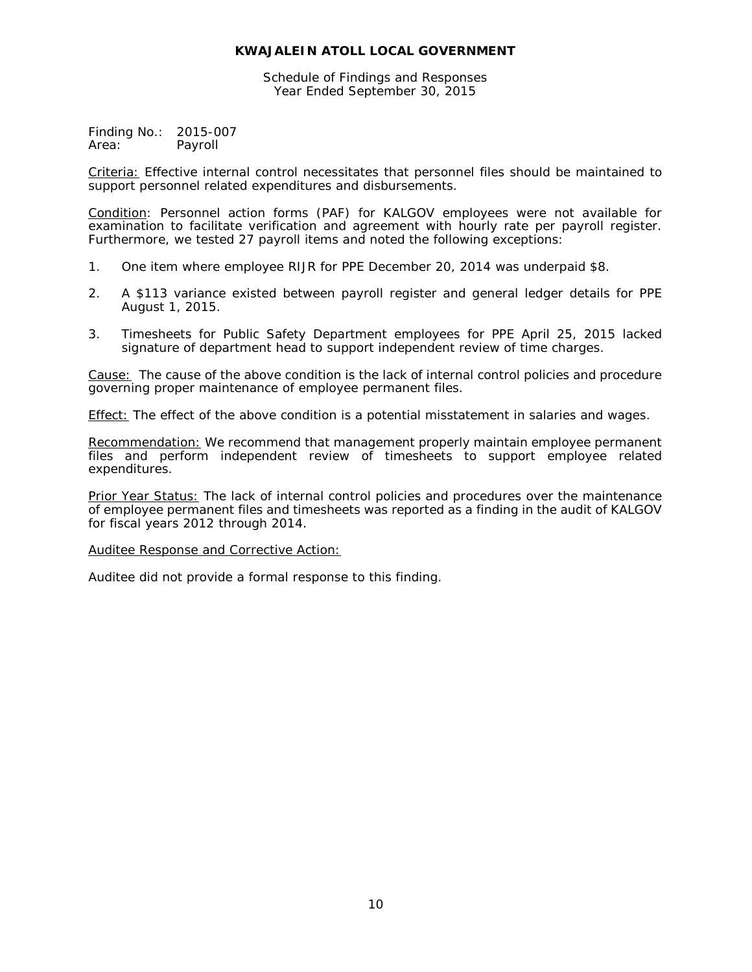Schedule of Findings and Responses Year Ended September 30, 2015

Finding No.: 2015-007 Area: Payroll

Criteria: Effective internal control necessitates that personnel files should be maintained to support personnel related expenditures and disbursements.

Condition: Personnel action forms (PAF) for KALGOV employees were not available for examination to facilitate verification and agreement with hourly rate per payroll register. Furthermore, we tested 27 payroll items and noted the following exceptions:

- 1. One item where employee RIJR for PPE December 20, 2014 was underpaid \$8.
- 2. A \$113 variance existed between payroll register and general ledger details for PPE August 1, 2015.
- 3. Timesheets for Public Safety Department employees for PPE April 25, 2015 lacked signature of department head to support independent review of time charges.

Cause: The cause of the above condition is the lack of internal control policies and procedure governing proper maintenance of employee permanent files.

Effect: The effect of the above condition is a potential misstatement in salaries and wages.

Recommendation: We recommend that management properly maintain employee permanent files and perform independent review of timesheets to support employee related expenditures.

Prior Year Status: The lack of internal control policies and procedures over the maintenance of employee permanent files and timesheets was reported as a finding in the audit of KALGOV for fiscal years 2012 through 2014.

#### Auditee Response and Corrective Action: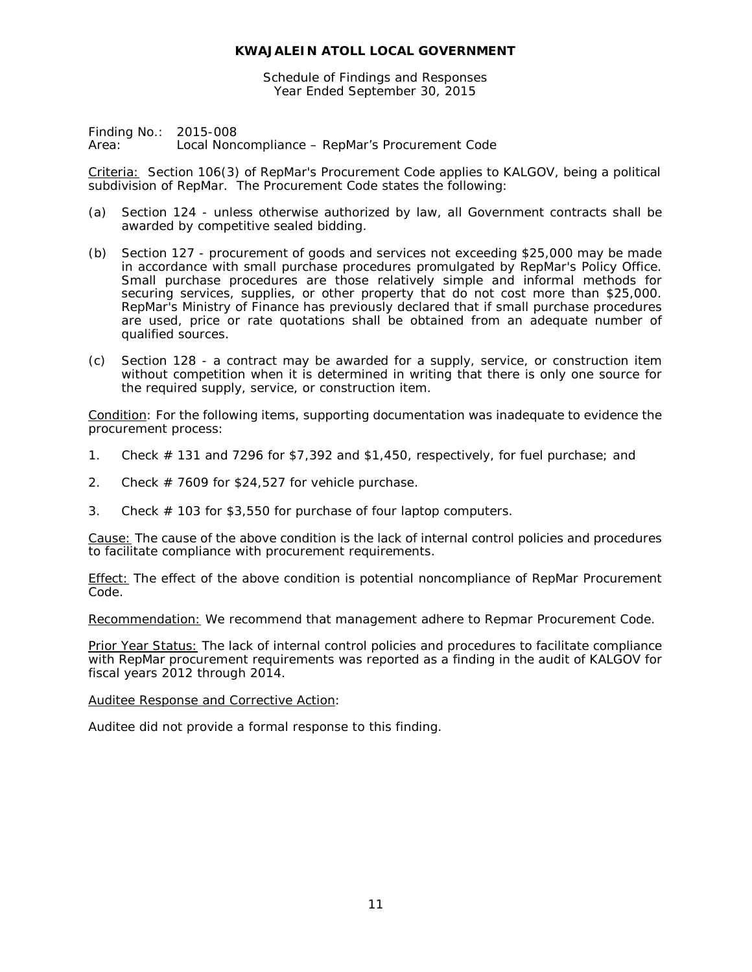Schedule of Findings and Responses Year Ended September 30, 2015

Finding No.: 2015-008 Area: Local Noncompliance – RepMar's Procurement Code

Criteria: Section 106(3) of RepMar's Procurement Code applies to KALGOV, being a political subdivision of RepMar. The Procurement Code states the following:

- (a) Section 124 unless otherwise authorized by law, all Government contracts shall be awarded by competitive sealed bidding.
- (b) Section 127 procurement of goods and services not exceeding \$25,000 may be made in accordance with small purchase procedures promulgated by RepMar's Policy Office. Small purchase procedures are those relatively simple and informal methods for securing services, supplies, or other property that do not cost more than \$25,000. RepMar's Ministry of Finance has previously declared that if small purchase procedures are used, price or rate quotations shall be obtained from an adequate number of qualified sources.
- (c) Section 128 a contract may be awarded for a supply, service, or construction item without competition when it is determined in writing that there is only one source for the required supply, service, or construction item.

Condition: For the following items, supporting documentation was inadequate to evidence the procurement process:

- 1. Check # 131 and 7296 for \$7,392 and \$1,450, respectively, for fuel purchase; and
- 2. Check  $\#$  7609 for \$24,527 for vehicle purchase.
- 3. Check # 103 for \$3,550 for purchase of four laptop computers.

Cause: The cause of the above condition is the lack of internal control policies and procedures to facilitate compliance with procurement requirements.

Effect: The effect of the above condition is potential noncompliance of RepMar Procurement Code.

Recommendation: We recommend that management adhere to Repmar Procurement Code.

Prior Year Status: The lack of internal control policies and procedures to facilitate compliance with RepMar procurement requirements was reported as a finding in the audit of KALGOV for fiscal years 2012 through 2014.

#### Auditee Response and Corrective Action: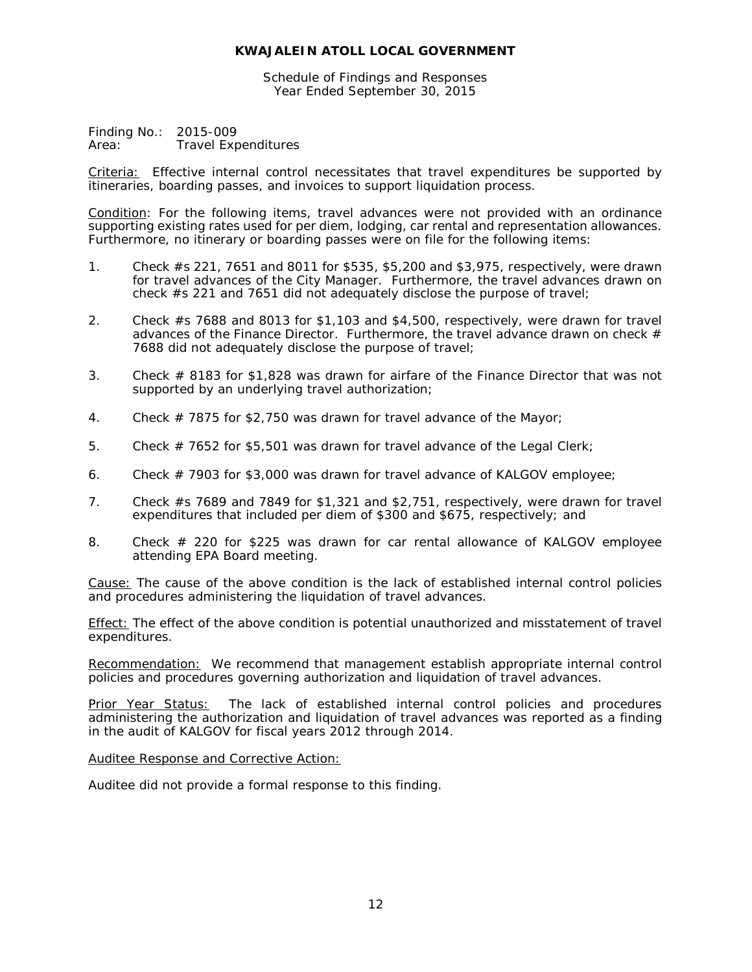Schedule of Findings and Responses Year Ended September 30, 2015

Finding No.: 2015-009<br>Area: Travel Exp **Travel Expenditures** 

Criteria: Effective internal control necessitates that travel expenditures be supported by itineraries, boarding passes, and invoices to support liquidation process.

Condition: For the following items, travel advances were not provided with an ordinance supporting existing rates used for per diem, lodging, car rental and representation allowances. Furthermore, no itinerary or boarding passes were on file for the following items:

- 1. Check #s 221, 7651 and 8011 for \$535, \$5,200 and \$3,975, respectively, were drawn for travel advances of the City Manager. Furthermore, the travel advances drawn on check #s 221 and 7651 did not adequately disclose the purpose of travel;
- 2. Check #s 7688 and 8013 for \$1,103 and \$4,500, respectively, were drawn for travel advances of the Finance Director. Furthermore, the travel advance drawn on check  $#$ 7688 did not adequately disclose the purpose of travel;
- 3. Check # 8183 for \$1,828 was drawn for airfare of the Finance Director that was not supported by an underlying travel authorization;
- 4. Check # 7875 for \$2,750 was drawn for travel advance of the Mayor;
- 5. Check # 7652 for \$5,501 was drawn for travel advance of the Legal Clerk;
- 6. Check # 7903 for \$3,000 was drawn for travel advance of KALGOV employee;
- 7. Check #s 7689 and 7849 for \$1,321 and \$2,751, respectively, were drawn for travel expenditures that included per diem of \$300 and \$675, respectively; and
- 8. Check # 220 for \$225 was drawn for car rental allowance of KALGOV employee attending EPA Board meeting.

Cause: The cause of the above condition is the lack of established internal control policies and procedures administering the liquidation of travel advances.

Effect: The effect of the above condition is potential unauthorized and misstatement of travel expenditures.

Recommendation: We recommend that management establish appropriate internal control policies and procedures governing authorization and liquidation of travel advances.

Prior Year Status: The lack of established internal control policies and procedures administering the authorization and liquidation of travel advances was reported as a finding in the audit of KALGOV for fiscal years 2012 through 2014.

Auditee Response and Corrective Action: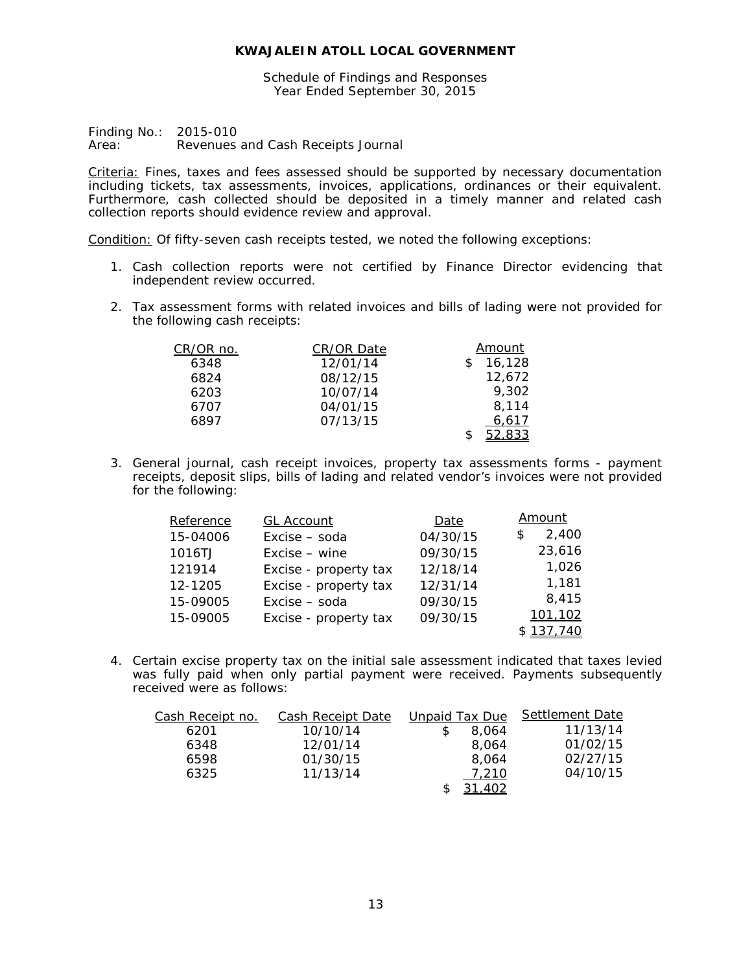Schedule of Findings and Responses Year Ended September 30, 2015

Finding No.: 2015-010 Area: Revenues and Cash Receipts Journal

Criteria: Fines, taxes and fees assessed should be supported by necessary documentation including tickets, tax assessments, invoices, applications, ordinances or their equivalent. Furthermore, cash collected should be deposited in a timely manner and related cash collection reports should evidence review and approval.

Condition: Of fifty-seven cash receipts tested, we noted the following exceptions:

- 1. Cash collection reports were not certified by Finance Director evidencing that independent review occurred.
- 2. Tax assessment forms with related invoices and bills of lading were not provided for the following cash receipts:

| CR/OR no. | CR/OR Date | Amount |
|-----------|------------|--------|
| 6348      | 12/01/14   | 16,128 |
| 6824      | 08/12/15   | 12,672 |
| 6203      | 10/07/14   | 9.302  |
| 6707      | 04/01/15   | 8.114  |
| 6897      | 07/13/15   | 6.617  |
|           |            | 52,833 |

3. General journal, cash receipt invoices, property tax assessments forms - payment receipts, deposit slips, bills of lading and related vendor's invoices were not provided for the following:

| Reference | <b>GL Account</b>     | Date     | <u>Amount</u> |
|-----------|-----------------------|----------|---------------|
| 15-04006  | Excise - soda         | 04/30/15 | 2,400<br>S    |
| 1016TJ    | Excise – wine         | 09/30/15 | 23,616        |
| 121914    | Excise - property tax | 12/18/14 | 1,026         |
| 12-1205   | Excise - property tax | 12/31/14 | 1,181         |
| 15-09005  | Excise - soda         | 09/30/15 | 8,415         |
| 15-09005  | Excise - property tax | 09/30/15 | 101,102       |
|           |                       |          | \$137,740     |

4. Certain excise property tax on the initial sale assessment indicated that taxes levied was fully paid when only partial payment were received. Payments subsequently received were as follows:

| <u>Cash Receipt no.</u> | <b>Cash Receipt Date</b> | Unpaid Tax Due | <b>Settlement Date</b> |
|-------------------------|--------------------------|----------------|------------------------|
| 6201                    | 10/10/14                 | 8.064          | 11/13/14               |
| 6348                    | 12/01/14                 | 8.064          | 01/02/15               |
| 6598                    | 01/30/15                 | 8.064          | 02/27/15               |
| 6325                    | 11/13/14                 | 7.210          | 04/10/15               |
|                         |                          | 31,402         |                        |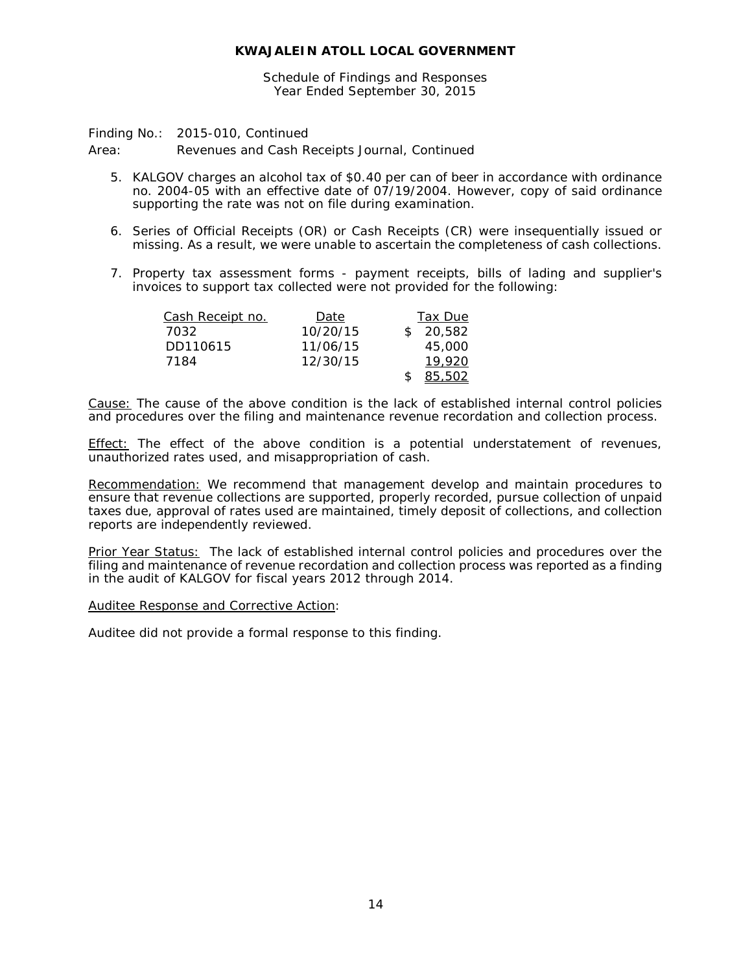Schedule of Findings and Responses Year Ended September 30, 2015

Finding No.: 2015-010, Continued

Area: Revenues and Cash Receipts Journal, Continued

- 5. KALGOV charges an alcohol tax of \$0.40 per can of beer in accordance with ordinance no. 2004-05 with an effective date of 07/19/2004. However, copy of said ordinance supporting the rate was not on file during examination.
- 6. Series of Official Receipts (OR) or Cash Receipts (CR) were insequentially issued or missing. As a result, we were unable to ascertain the completeness of cash collections.
- 7. Property tax assessment forms payment receipts, bills of lading and supplier's invoices to support tax collected were not provided for the following:

| Cash Receipt no. | Date     | Tax Due  |
|------------------|----------|----------|
| 7032             | 10/20/15 | \$20.582 |
| DD110615         | 11/06/15 | 45,000   |
| 7184             | 12/30/15 | 19.920   |
|                  |          | 85,502   |

Cause: The cause of the above condition is the lack of established internal control policies and procedures over the filing and maintenance revenue recordation and collection process.

**Effect:** The effect of the above condition is a potential understatement of revenues, unauthorized rates used, and misappropriation of cash.

Recommendation: We recommend that management develop and maintain procedures to ensure that revenue collections are supported, properly recorded, pursue collection of unpaid taxes due, approval of rates used are maintained, timely deposit of collections, and collection reports are independently reviewed.

Prior Year Status: The lack of established internal control policies and procedures over the filing and maintenance of revenue recordation and collection process was reported as a finding in the audit of KALGOV for fiscal years 2012 through 2014.

Auditee Response and Corrective Action: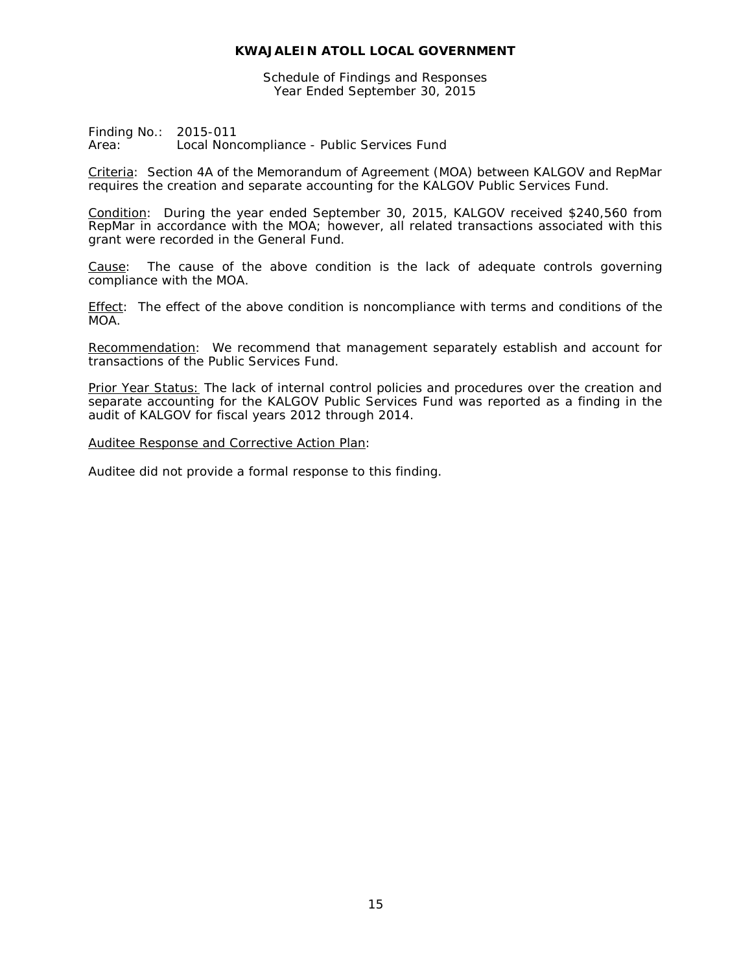Schedule of Findings and Responses Year Ended September 30, 2015

Finding No.: 2015-011 Area: Local Noncompliance - Public Services Fund

Criteria: Section 4A of the Memorandum of Agreement (MOA) between KALGOV and RepMar requires the creation and separate accounting for the KALGOV Public Services Fund.

Condition: During the year ended September 30, 2015, KALGOV received \$240,560 from RepMar in accordance with the MOA; however, all related transactions associated with this grant were recorded in the General Fund.

Cause: The cause of the above condition is the lack of adequate controls governing compliance with the MOA.

Effect: The effect of the above condition is noncompliance with terms and conditions of the MOA.

Recommendation: We recommend that management separately establish and account for transactions of the Public Services Fund.

Prior Year Status: The lack of internal control policies and procedures over the creation and separate accounting for the KALGOV Public Services Fund was reported as a finding in the audit of KALGOV for fiscal years 2012 through 2014.

Auditee Response and Corrective Action Plan: